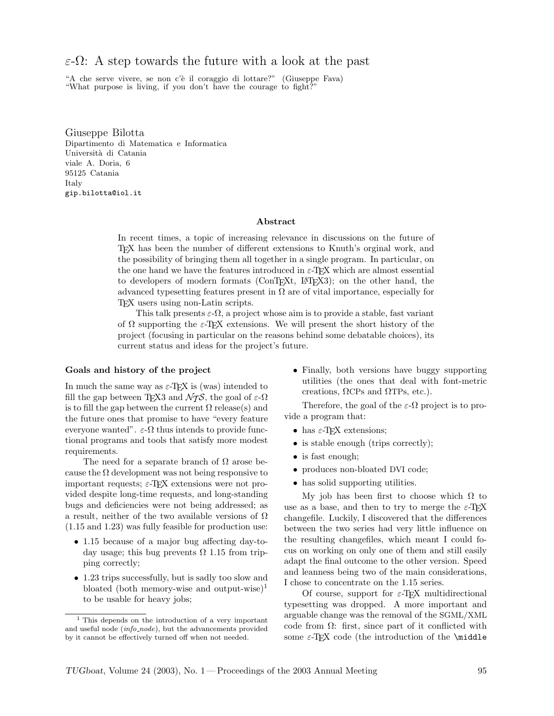# ε-Ω: A step towards the future with a look at the past

"A che serve vivere, se non c'è il coraggio di lottare?" (Giuseppe Fava) "What purpose is living, if you don't have the courage to fight?

Giuseppe Bilotta Dipartimento di Matematica e Informatica Università di Catania viale A. Doria, 6 95125 Catania Italy gip.bilotta@iol.it

#### Abstract

In recent times, a topic of increasing relevance in discussions on the future of TEX has been the number of different extensions to Knuth's orginal work, and the possibility of bringing them all together in a single program. In particular, on the one hand we have the features introduced in  $\varepsilon$ -TEX which are almost essential to developers of modern formats (ConTEXt, LATEX3); on the other hand, the advanced typesetting features present in  $\Omega$  are of vital importance, especially for TEX users using non-Latin scripts.

This talk presents  $\varepsilon$ - $\Omega$ , a project whose aim is to provide a stable, fast variant of  $\Omega$  supporting the  $\varepsilon$ -T<sub>E</sub>X extensions. We will present the short history of the project (focusing in particular on the reasons behind some debatable choices), its current status and ideas for the project's future.

#### Goals and history of the project

In much the same way as  $\varepsilon$ -T<sub>E</sub>X is (was) intended to fill the gap between T<sub>E</sub>X3 and  $\mathcal{N}_{\mathcal{T}}\mathcal{S}$ , the goal of  $\varepsilon$ - $\Omega$ is to fill the gap between the current  $\Omega$  release(s) and the future ones that promise to have "every feature everyone wanted".  $\varepsilon$ - $\Omega$  thus intends to provide functional programs and tools that satisfy more modest requirements.

The need for a separate branch of  $\Omega$  arose because the  $\Omega$  development was not being responsive to important requests;  $\varepsilon$ -T<sub>EX</sub> extensions were not provided despite long-time requests, and long-standing bugs and deficiencies were not being addressed; as a result, neither of the two available versions of Ω (1.15 and 1.23) was fully feasible for production use:

- 1.15 because of a major bug affecting day-today usage; this bug prevents  $\Omega$  1.15 from tripping correctly;
- 1.23 trips successfully, but is sadly too slow and bloated (both memory-wise and output-wise)<sup>1</sup> to be usable for heavy jobs;

• Finally, both versions have buggy supporting utilities (the ones that deal with font-metric creations,  $ΩCPs$  and  $ΩTPs$ , etc.).

Therefore, the goal of the  $\varepsilon$ - $\Omega$  project is to provide a program that:

- has  $\varepsilon$ -T<sub>E</sub>X extensions;
- is stable enough (trips correctly);
- is fast enough;
- produces non-bloated DVI code;
- has solid supporting utilities.

My job has been first to choose which  $Ω$  to use as a base, and then to try to merge the  $\varepsilon$ -TEX changefile. Luckily, I discovered that the differences between the two series had very little influence on the resulting changefiles, which meant I could focus on working on only one of them and still easily adapt the final outcome to the other version. Speed and leanness being two of the main considerations, I chose to concentrate on the 1.15 series.

Of course, support for  $\varepsilon$ -T<sub>EX</sub> multidirectional typesetting was dropped. A more important and arguable change was the removal of the SGML/XML code from  $\Omega$ : first, since part of it conflicted with some  $\varepsilon$ -TEX code (the introduction of the \middle

 $<sup>1</sup>$  This depends on the introduction of a very important</sup> and useful node (info\_node), but the advancements provided by it cannot be effectively turned off when not needed.